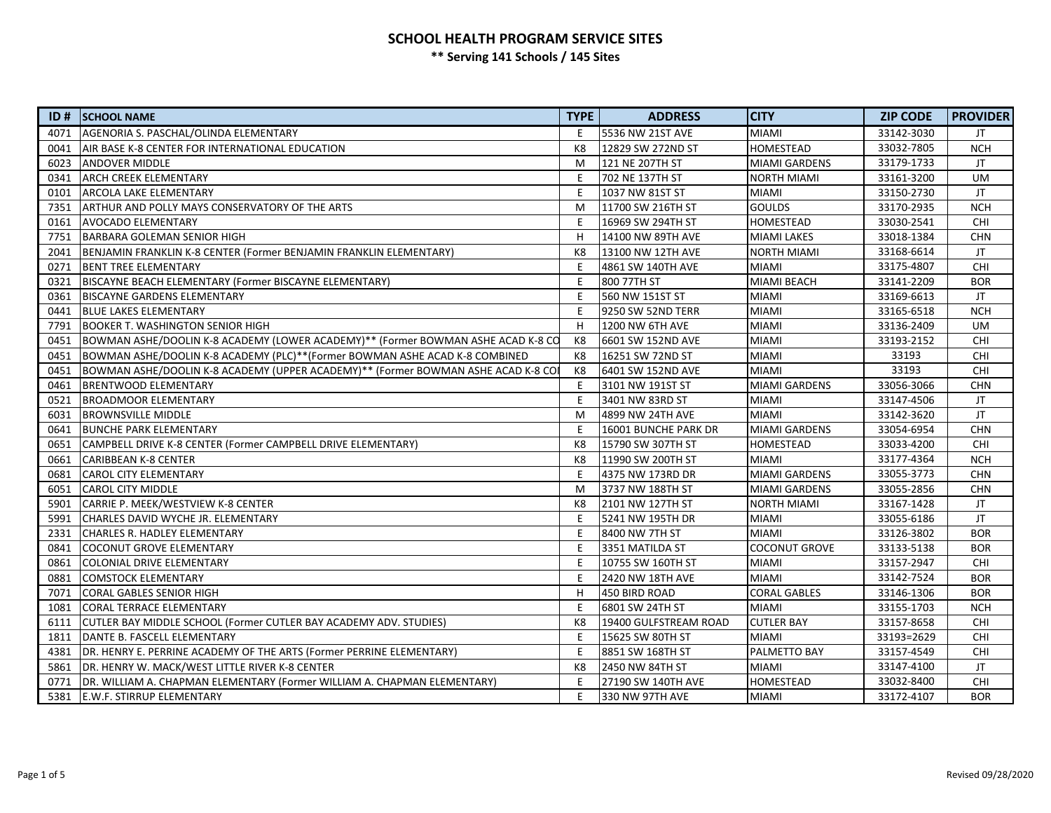# **SCHOOL HEALTH PROGRAM SERVICE SITES**

**\*\* Serving 141 Schools / 145 Sites**

| ID#  | <b>SCHOOL NAME</b>                                                                | <b>TYPE</b>    | <b>ADDRESS</b>        | <b>CITY</b>          | <b>ZIP CODE</b> | <b>PROVIDER</b> |
|------|-----------------------------------------------------------------------------------|----------------|-----------------------|----------------------|-----------------|-----------------|
| 4071 | AGENORIA S. PASCHAL/OLINDA ELEMENTARY                                             | E              | 5536 NW 21ST AVE      | <b>MIAMI</b>         | 33142-3030      | JT.             |
| 0041 | AIR BASE K-8 CENTER FOR INTERNATIONAL EDUCATION                                   | K <sub>8</sub> | 12829 SW 272ND ST     | HOMESTEAD            | 33032-7805      | <b>NCH</b>      |
| 6023 | <b>ANDOVER MIDDLE</b>                                                             | M              | 121 NE 207TH ST       | <b>MIAMI GARDENS</b> | 33179-1733      | JT.             |
| 0341 | <b>ARCH CREEK ELEMENTARY</b>                                                      | F              | 702 NE 137TH ST       | <b>NORTH MIAMI</b>   | 33161-3200      | <b>UM</b>       |
| 0101 | <b>ARCOLA LAKE ELEMENTARY</b>                                                     | F              | 1037 NW 81ST ST       | <b>MIAMI</b>         | 33150-2730      | JT.             |
| 7351 | ARTHUR AND POLLY MAYS CONSERVATORY OF THE ARTS                                    | M              | 11700 SW 216TH ST     | <b>GOULDS</b>        | 33170-2935      | <b>NCH</b>      |
| 0161 | <b>AVOCADO ELEMENTARY</b>                                                         | E              | 16969 SW 294TH ST     | <b>HOMESTEAD</b>     | 33030-2541      | <b>CHI</b>      |
| 7751 | <b>BARBARA GOLEMAN SENIOR HIGH</b>                                                | H              | 14100 NW 89TH AVE     | <b>MIAMI LAKES</b>   | 33018-1384      | <b>CHN</b>      |
| 2041 | BENJAMIN FRANKLIN K-8 CENTER (Former BENJAMIN FRANKLIN ELEMENTARY)                | K <sub>8</sub> | 13100 NW 12TH AVE     | NORTH MIAMI          | 33168-6614      | JT.             |
| 0271 | <b>BENT TREE ELEMENTARY</b>                                                       | E              | 4861 SW 140TH AVE     | <b>MIAMI</b>         | 33175-4807      | <b>CHI</b>      |
| 0321 | BISCAYNE BEACH ELEMENTARY (Former BISCAYNE ELEMENTARY)                            | E              | 800 77TH ST           | MIAMI BEACH          | 33141-2209      | <b>BOR</b>      |
| 0361 | <b>BISCAYNE GARDENS ELEMENTARY</b>                                                | E              | 560 NW 151ST ST       | <b>MIAMI</b>         | 33169-6613      | JT.             |
| 0441 | <b>BLUE LAKES ELEMENTARY</b>                                                      | E              | 9250 SW 52ND TERR     | <b>MIAMI</b>         | 33165-6518      | <b>NCH</b>      |
| 7791 | <b>BOOKER T. WASHINGTON SENIOR HIGH</b>                                           | H              | 1200 NW 6TH AVE       | <b>MIAMI</b>         | 33136-2409      | <b>UM</b>       |
| 0451 | BOWMAN ASHE/DOOLIN K-8 ACADEMY (LOWER ACADEMY)** (Former BOWMAN ASHE ACAD K-8 CO  | K8             | 6601 SW 152ND AVE     | <b>MIAMI</b>         | 33193-2152      | <b>CHI</b>      |
| 0451 | BOWMAN ASHE/DOOLIN K-8 ACADEMY (PLC)**(Former BOWMAN ASHE ACAD K-8 COMBINED       | K8             | 16251 SW 72ND ST      | <b>MIAMI</b>         | 33193           | CHI             |
| 0451 | BOWMAN ASHE/DOOLIN K-8 ACADEMY (UPPER ACADEMY)** (Former BOWMAN ASHE ACAD K-8 COI | K8             | 6401 SW 152ND AVE     | <b>MIAMI</b>         | 33193           | <b>CHI</b>      |
| 0461 | <b>BRENTWOOD ELEMENTARY</b>                                                       | Ε              | 3101 NW 191ST ST      | MIAMI GARDENS        | 33056-3066      | <b>CHN</b>      |
| 0521 | <b>BROADMOOR ELEMENTARY</b>                                                       | E              | 3401 NW 83RD ST       | <b>MIAMI</b>         | 33147-4506      | JT.             |
| 6031 | <b>BROWNSVILLE MIDDLE</b>                                                         | M              | 4899 NW 24TH AVE      | <b>MIAMI</b>         | 33142-3620      | <b>JT</b>       |
| 0641 | <b>BUNCHE PARK ELEMENTARY</b>                                                     | E              | 16001 BUNCHE PARK DR  | <b>MIAMI GARDENS</b> | 33054-6954      | <b>CHN</b>      |
| 0651 | CAMPBELL DRIVE K-8 CENTER (Former CAMPBELL DRIVE ELEMENTARY)                      | K8             | 15790 SW 307TH ST     | <b>HOMESTEAD</b>     | 33033-4200      | <b>CHI</b>      |
| 0661 | <b>CARIBBEAN K-8 CENTER</b>                                                       | K8             | 11990 SW 200TH ST     | <b>MIAMI</b>         | 33177-4364      | <b>NCH</b>      |
| 0681 | <b>CAROL CITY ELEMENTARY</b>                                                      | E              | 4375 NW 173RD DR      | MIAMI GARDENS        | 33055-3773      | <b>CHN</b>      |
| 6051 | <b>CAROL CITY MIDDLE</b>                                                          | M              | 3737 NW 188TH ST      | MIAMI GARDENS        | 33055-2856      | <b>CHN</b>      |
| 5901 | CARRIE P. MEEK/WESTVIEW K-8 CENTER                                                | K8             | 2101 NW 127TH ST      | NORTH MIAMI          | 33167-1428      | <b>JT</b>       |
| 5991 | CHARLES DAVID WYCHE JR. ELEMENTARY                                                | E              | 5241 NW 195TH DR      | MIAMI                | 33055-6186      | JT.             |
| 2331 | CHARLES R. HADLEY ELEMENTARY                                                      | E              | 8400 NW 7TH ST        | <b>MIAMI</b>         | 33126-3802      | <b>BOR</b>      |
| 0841 | COCONUT GROVE ELEMENTARY                                                          | E              | 3351 MATILDA ST       | <b>COCONUT GROVE</b> | 33133-5138      | <b>BOR</b>      |
| 0861 | COLONIAL DRIVE ELEMENTARY                                                         | E              | 10755 SW 160TH ST     | MIAMI                | 33157-2947      | <b>CHI</b>      |
| 0881 | <b>COMSTOCK ELEMENTARY</b>                                                        | Ε              | 2420 NW 18TH AVE      | <b>MIAMI</b>         | 33142-7524      | <b>BOR</b>      |
| 7071 | CORAL GABLES SENIOR HIGH                                                          | H              | 450 BIRD ROAD         | <b>CORAL GABLES</b>  | 33146-1306      | <b>BOR</b>      |
| 1081 | <b>CORAL TERRACE ELEMENTARY</b>                                                   | Ε              | 6801 SW 24TH ST       | <b>MIAMI</b>         | 33155-1703      | <b>NCH</b>      |
| 6111 | CUTLER BAY MIDDLE SCHOOL (Former CUTLER BAY ACADEMY ADV. STUDIES)                 | K8             | 19400 GULFSTREAM ROAD | <b>CUTLER BAY</b>    | 33157-8658      | CHI             |
| 1811 | DANTE B. FASCELL ELEMENTARY                                                       | E              | 15625 SW 80TH ST      | <b>MIAMI</b>         | 33193=2629      | <b>CHI</b>      |
| 4381 | DR. HENRY E. PERRINE ACADEMY OF THE ARTS (Former PERRINE ELEMENTARY)              | E              | 8851 SW 168TH ST      | PALMETTO BAY         | 33157-4549      | CHI             |
| 5861 | DR. HENRY W. MACK/WEST LITTLE RIVER K-8 CENTER                                    | K8             | 2450 NW 84TH ST       | MIAMI                | 33147-4100      | JT.             |
| 0771 | DR. WILLIAM A. CHAPMAN ELEMENTARY (Former WILLIAM A. CHAPMAN ELEMENTARY)          | Ε              | 27190 SW 140TH AVE    | HOMESTEAD            | 33032-8400      | CHI             |
| 5381 | <b>E.W.F. STIRRUP ELEMENTARY</b>                                                  | E              | 330 NW 97TH AVE       | <b>MIAMI</b>         | 33172-4107      | <b>BOR</b>      |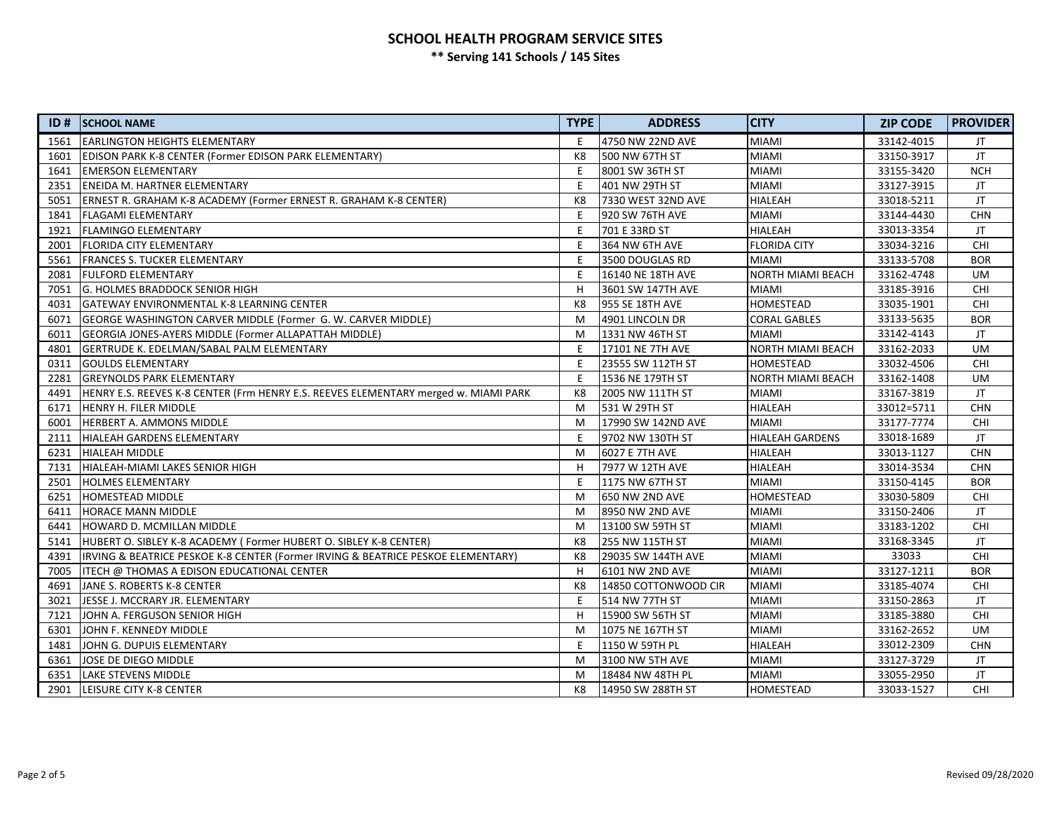## **SCHOOL HEALTH PROGRAM SERVICE SITES \*\* Serving 141 Schools / 145 Sites**

| ID#  | <b>SCHOOL NAME</b>                                                                  | <b>TYPE</b>    | <b>ADDRESS</b>         | <b>CITY</b>                | <b>ZIP CODE</b> | <b>PROVIDER</b> |
|------|-------------------------------------------------------------------------------------|----------------|------------------------|----------------------------|-----------------|-----------------|
| 1561 | <b>EARLINGTON HEIGHTS ELEMENTARY</b>                                                | E              | 4750 NW 22ND AVE       | <b>MIAMI</b>               | 33142-4015      | JT              |
| 1601 | EDISON PARK K-8 CENTER (Former EDISON PARK ELEMENTARY)                              | K <sub>8</sub> | 500 NW 67TH ST         | <b>MIAMI</b><br>33150-3917 |                 | JT.             |
| 1641 | <b>EMERSON ELEMENTARY</b>                                                           | E              | 8001 SW 36TH ST        | <b>MIAMI</b>               | 33155-3420      | <b>NCH</b>      |
| 2351 | ENEIDA M. HARTNER ELEMENTARY                                                        | E              | 401 NW 29TH ST         | <b>MIAMI</b>               | 33127-3915      | JT              |
| 5051 | ERNEST R. GRAHAM K-8 ACADEMY (Former ERNEST R. GRAHAM K-8 CENTER)                   | K8             | 7330 WEST 32ND AVE     | <b>HIALEAH</b>             | 33018-5211      | JT              |
| 1841 | <b>FLAGAMI ELEMENTARY</b>                                                           | E              | 920 SW 76TH AVE        | MIAMI                      | 33144-4430      | <b>CHN</b>      |
| 1921 | <b>FLAMINGO ELEMENTARY</b>                                                          | E              | 701 E 33RD ST          | <b>HIALEAH</b>             | 33013-3354      | JT              |
| 2001 | <b>FLORIDA CITY ELEMENTARY</b>                                                      | E              | 364 NW 6TH AVE         | <b>FLORIDA CITY</b>        | 33034-3216      | CHI             |
| 5561 | <b>FRANCES S. TUCKER ELEMENTARY</b>                                                 | E              | 3500 DOUGLAS RD        | <b>MIAMI</b>               | 33133-5708      | <b>BOR</b>      |
| 2081 | <b>FULFORD ELEMENTARY</b>                                                           | E              | 16140 NE 18TH AVE      | <b>NORTH MIAMI BEACH</b>   | 33162-4748      | <b>UM</b>       |
| 7051 | <b>G. HOLMES BRADDOCK SENIOR HIGH</b>                                               | H              | 3601 SW 147TH AVE      | <b>MIAMI</b>               | 33185-3916      | CHI             |
| 4031 | <b>GATEWAY ENVIRONMENTAL K-8 LEARNING CENTER</b>                                    | K8             | <b>955 SE 18TH AVE</b> | HOMESTEAD                  | 33035-1901      | <b>CHI</b>      |
| 6071 | GEORGE WASHINGTON CARVER MIDDLE (Former G. W. CARVER MIDDLE)                        | M              | 4901 LINCOLN DR        | <b>CORAL GABLES</b>        | 33133-5635      | <b>BOR</b>      |
| 6011 | GEORGIA JONES-AYERS MIDDLE (Former ALLAPATTAH MIDDLE)                               | M              | 1331 NW 46TH ST        | <b>MIAMI</b>               | 33142-4143      | JT.             |
| 4801 | GERTRUDE K. EDELMAN/SABAL PALM ELEMENTARY                                           | E              | 17101 NE 7TH AVE       | <b>NORTH MIAMI BEACH</b>   | 33162-2033      | <b>UM</b>       |
| 0311 | <b>GOULDS ELEMENTARY</b>                                                            | E              | 23555 SW 112TH ST      | HOMESTEAD                  | 33032-4506      | <b>CHI</b>      |
| 2281 | <b>GREYNOLDS PARK ELEMENTARY</b>                                                    | E              | 1536 NE 179TH ST       | <b>NORTH MIAMI BEACH</b>   | 33162-1408      | UM              |
| 4491 | HENRY E.S. REEVES K-8 CENTER (Frm HENRY E.S. REEVES ELEMENTARY merged w. MIAMI PARK | K8             | 2005 NW 111TH ST       | <b>MIAMI</b>               | 33167-3819      | JT              |
| 6171 | <b>HENRY H. FILER MIDDLE</b>                                                        | M              | 531 W 29TH ST          | <b>HIALEAH</b>             | 33012=5711      | <b>CHN</b>      |
| 6001 | HERBERT A. AMMONS MIDDLE                                                            | M              | 17990 SW 142ND AVE     | <b>MIAMI</b>               | 33177-7774      | <b>CHI</b>      |
| 2111 | HIALEAH GARDENS ELEMENTARY                                                          | E              | 9702 NW 130TH ST       | <b>HIALEAH GARDENS</b>     | 33018-1689      | JT              |
| 6231 | <b>HIALEAH MIDDLE</b>                                                               | M              | 6027 E 7TH AVE         | <b>HIALEAH</b>             | 33013-1127      | <b>CHN</b>      |
| 7131 | HIALEAH-MIAMI LAKES SENIOR HIGH                                                     | н              | 7977 W 12TH AVE        | <b>HIALEAH</b>             | 33014-3534      | <b>CHN</b>      |
| 2501 | <b>HOLMES ELEMENTARY</b>                                                            | E              | 1175 NW 67TH ST        | <b>MIAMI</b>               | 33150-4145      | <b>BOR</b>      |
| 6251 | <b>HOMESTEAD MIDDLE</b>                                                             | M              | <b>650 NW 2ND AVE</b>  | HOMESTEAD                  | 33030-5809      | <b>CHI</b>      |
| 6411 | <b>HORACE MANN MIDDLE</b>                                                           | M              | 8950 NW 2ND AVE        | MIAMI                      | 33150-2406      | JT              |
| 6441 | HOWARD D. MCMILLAN MIDDLE                                                           | M              | 13100 SW 59TH ST       | <b>MIAMI</b>               | 33183-1202      | <b>CHI</b>      |
| 5141 | HUBERT O. SIBLEY K-8 ACADEMY (Former HUBERT O. SIBLEY K-8 CENTER)                   | K8             | 255 NW 115TH ST        | <b>MIAMI</b>               | 33168-3345      | JT              |
| 4391 | IRVING & BEATRICE PESKOE K-8 CENTER (Former IRVING & BEATRICE PESKOE ELEMENTARY)    | K8             | 29035 SW 144TH AVE     | <b>MIAMI</b>               | 33033           | CHI             |
| 7005 | ITECH @ THOMAS A EDISON EDUCATIONAL CENTER                                          | H              | 6101 NW 2ND AVE        | <b>MIAMI</b>               | 33127-1211      |                 |
| 4691 | JANE S. ROBERTS K-8 CENTER                                                          | K8             | 14850 COTTONWOOD CIR   | <b>MIAMI</b>               | 33185-4074      | CHI             |
| 3021 | JESSE J. MCCRARY JR. ELEMENTARY                                                     | E              | 514 NW 77TH ST         | <b>MIAMI</b>               | 33150-2863      | JT.             |
| 7121 | JOHN A. FERGUSON SENIOR HIGH                                                        | H              | 15900 SW 56TH ST       | <b>MIAMI</b>               | 33185-3880      | CHI             |
| 6301 | JOHN F. KENNEDY MIDDLE                                                              | M              | 1075 NE 167TH ST       | <b>MIAMI</b>               | 33162-2652      |                 |
| 1481 | JOHN G. DUPUIS ELEMENTARY                                                           | E              | 1150 W 59TH PL         | HIALEAH                    | 33012-2309      |                 |
| 6361 | JOSE DE DIEGO MIDDLE                                                                | M              | 3100 NW 5TH AVE        | <b>MIAMI</b>               | 33127-3729      | JT.             |
| 6351 | <b>LAKE STEVENS MIDDLE</b>                                                          | M              | 18484 NW 48TH PL       | <b>MIAMI</b>               | 33055-2950      | JT              |
| 2901 | <b>LEISURE CITY K-8 CENTER</b>                                                      | K8             | 14950 SW 288TH ST      | HOMESTEAD                  | 33033-1527      | <b>CHI</b>      |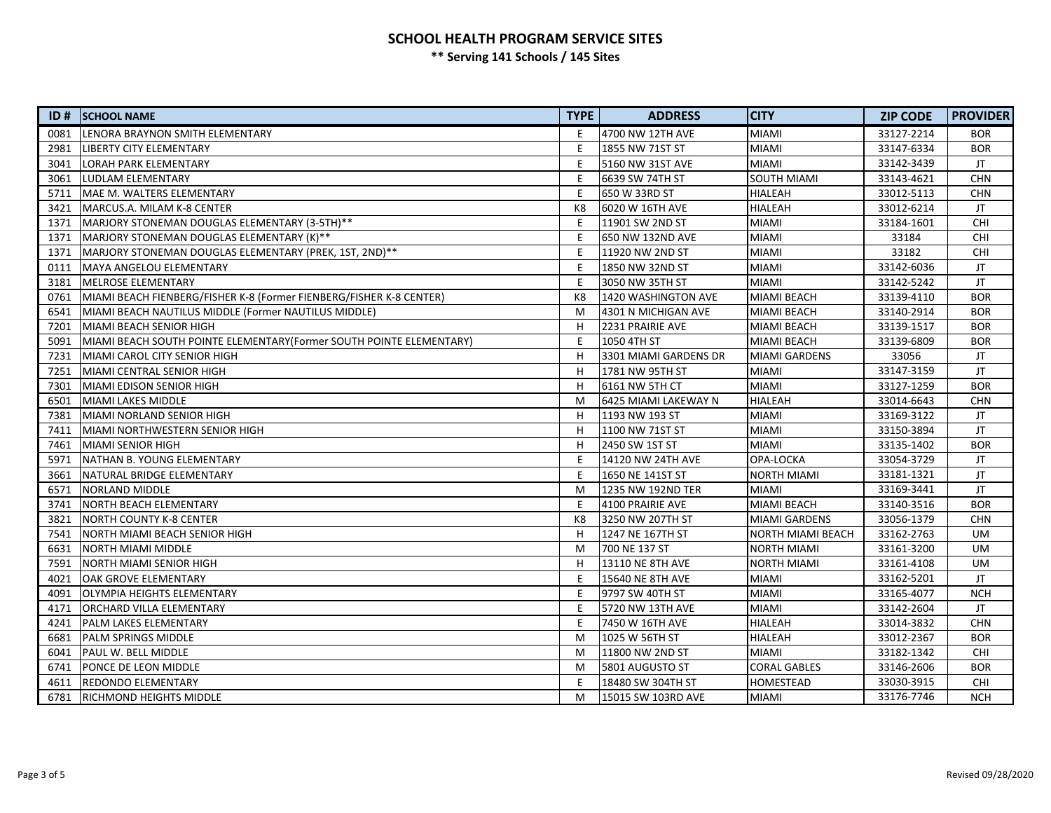# **SCHOOL HEALTH PROGRAM SERVICE SITES**

**\*\* Serving 141 Schools / 145 Sites**

| ID#  | <b>SCHOOL NAME</b>                                                   | <b>TYPE</b>    | <b>ADDRESS</b>        | <b>CITY</b>                  | <b>ZIP CODE</b> | <b>PROVIDER</b> |
|------|----------------------------------------------------------------------|----------------|-----------------------|------------------------------|-----------------|-----------------|
| 0081 | LENORA BRAYNON SMITH ELEMENTARY                                      | E              | 4700 NW 12TH AVE      | <b>MIAMI</b>                 | 33127-2214      | <b>BOR</b>      |
| 2981 | LIBERTY CITY ELEMENTARY                                              | E              | 1855 NW 71ST ST       | <b>MIAMI</b>                 | 33147-6334      | <b>BOR</b>      |
| 3041 | LORAH PARK ELEMENTARY                                                | E              | 5160 NW 31ST AVE      | <b>MIAMI</b>                 | 33142-3439      | JT.             |
| 3061 | LUDLAM ELEMENTARY                                                    | E              | 6639 SW 74TH ST       | SOUTH MIAMI                  | 33143-4621      | <b>CHN</b>      |
| 5711 | MAE M. WALTERS ELEMENTARY                                            | E              | 650 W 33RD ST         | <b>HIALEAH</b>               | 33012-5113      | <b>CHN</b>      |
| 3421 | lMARCUS.A. MILAM K-8 CENTER                                          | K8             | 6020 W 16TH AVE       | <b>HIALEAH</b>               | 33012-6214      | JT.             |
| 1371 | MARJORY STONEMAN DOUGLAS ELEMENTARY (3-5TH)**                        | E              | 11901 SW 2ND ST       | <b>MIAMI</b>                 | 33184-1601      | <b>CHI</b>      |
| 1371 | MARJORY STONEMAN DOUGLAS ELEMENTARY (K)**                            | E              | 650 NW 132ND AVE      | <b>MIAMI</b>                 | 33184           | <b>CHI</b>      |
| 1371 | MARJORY STONEMAN DOUGLAS ELEMENTARY (PREK, 1ST, 2ND)**               | E              | 11920 NW 2ND ST       | <b>MIAMI</b>                 | 33182           | <b>CHI</b>      |
| 0111 | MAYA ANGELOU ELEMENTARY                                              | E              | 1850 NW 32ND ST       | <b>MIAMI</b>                 | 33142-6036      | JT.             |
| 3181 | MELROSE ELEMENTARY                                                   | E              | 3050 NW 35TH ST       | <b>MIAMI</b>                 | 33142-5242      | JT.             |
| 0761 | MIAMI BEACH FIENBERG/FISHER K-8 (Former FIENBERG/FISHER K-8 CENTER)  | K <sub>8</sub> | 1420 WASHINGTON AVE   | <b>MIAMI BEACH</b>           | 33139-4110      | <b>BOR</b>      |
| 6541 | MIAMI BEACH NAUTILUS MIDDLE (Former NAUTILUS MIDDLE)                 | M              | 4301 N MICHIGAN AVE   | <b>MIAMI BEACH</b>           | 33140-2914      | <b>BOR</b>      |
| 7201 | MIAMI BEACH SENIOR HIGH                                              | H              | 2231 PRAIRIE AVE      | <b>MIAMI BEACH</b>           | 33139-1517      | <b>BOR</b>      |
| 5091 | MIAMI BEACH SOUTH POINTE ELEMENTARY (Former SOUTH POINTE ELEMENTARY) | E              | 1050 4TH ST           | <b>MIAMI BEACH</b>           | 33139-6809      | <b>BOR</b>      |
| 7231 | MIAMI CAROL CITY SENIOR HIGH                                         | H              | 3301 MIAMI GARDENS DR | <b>MIAMI GARDENS</b>         | 33056           | JT              |
| 7251 | MIAMI CENTRAL SENIOR HIGH                                            | H              | 1781 NW 95TH ST       | <b>MIAMI</b>                 | 33147-3159      | JT.             |
| 7301 | MIAMI EDISON SENIOR HIGH                                             | H              | 6161 NW 5TH CT        | <b>MIAMI</b>                 | 33127-1259      | <b>BOR</b>      |
| 6501 | MIAMI LAKES MIDDLE                                                   | M              | 6425 MIAMI LAKEWAY N  | <b>HIALEAH</b>               | 33014-6643      | <b>CHN</b>      |
| 7381 | MIAMI NORLAND SENIOR HIGH                                            | H              | 1193 NW 193 ST        | <b>MIAMI</b>                 | 33169-3122      | JT.             |
| 7411 | MIAMI NORTHWESTERN SENIOR HIGH                                       | H              | 1100 NW 71ST ST       | <b>MIAMI</b>                 | 33150-3894      | JT.             |
| 7461 | MIAMI SENIOR HIGH                                                    | H              | 2450 SW 1ST ST        | <b>MIAMI</b>                 | 33135-1402      | <b>BOR</b>      |
| 5971 | <b>NATHAN B. YOUNG ELEMENTARY</b>                                    | E              | 14120 NW 24TH AVE     | OPA-LOCKA                    | 33054-3729      | JT              |
| 3661 | NATURAL BRIDGE ELEMENTARY                                            | E              | 1650 NE 141ST ST      | <b>NORTH MIAMI</b>           | 33181-1321      | JT.             |
| 6571 | <b>NORLAND MIDDLE</b>                                                | M              | 1235 NW 192ND TER     | <b>MIAMI</b>                 | 33169-3441      | JT.             |
| 3741 | NORTH BEACH ELEMENTARY                                               | E              | 4100 PRAIRIE AVE      | <b>MIAMI BEACH</b>           | 33140-3516      | <b>BOR</b>      |
| 3821 | <b>NORTH COUNTY K-8 CENTER</b>                                       | K8             | 3250 NW 207TH ST      | <b>MIAMI GARDENS</b>         | 33056-1379      | <b>CHN</b>      |
| 7541 | NORTH MIAMI BEACH SENIOR HIGH                                        | H              | 1247 NE 167TH ST      | <b>NORTH MIAMI BEACH</b>     | 33162-2763      | <b>UM</b>       |
| 6631 | <b>NORTH MIAMI MIDDLE</b>                                            | M              | 700 NE 137 ST         | <b>NORTH MIAMI</b>           | 33161-3200      | <b>UM</b>       |
| 7591 | NORTH MIAMI SENIOR HIGH                                              | H              | 13110 NE 8TH AVE      | <b>NORTH MIAMI</b>           | 33161-4108      | <b>UM</b>       |
| 4021 | OAK GROVE ELEMENTARY                                                 | E              | 15640 NE 8TH AVE      | <b>MIAMI</b>                 | 33162-5201      | JT              |
| 4091 | OLYMPIA HEIGHTS ELEMENTARY                                           | E              | 9797 SW 40TH ST       | <b>MIAMI</b>                 | 33165-4077      |                 |
| 4171 | <b>ORCHARD VILLA ELEMENTARY</b>                                      | E              | 5720 NW 13TH AVE      | <b>MIAMI</b>                 | 33142-2604      |                 |
| 4241 | <b>PALM LAKES ELEMENTARY</b>                                         | E              | 7450 W 16TH AVE       | <b>HIALEAH</b><br>33014-3832 |                 | <b>CHN</b>      |
| 6681 | <b>PALM SPRINGS MIDDLE</b>                                           | M              | 1025 W 56TH ST        | <b>HIALEAH</b><br>33012-2367 |                 | <b>BOR</b>      |
| 6041 | <b>PAUL W. BELL MIDDLE</b>                                           | M              | 11800 NW 2ND ST       | <b>MIAMI</b>                 | 33182-1342      | <b>CHI</b>      |
| 6741 | PONCE DE LEON MIDDLE                                                 | M              | 5801 AUGUSTO ST       | <b>CORAL GABLES</b>          | 33146-2606      | <b>BOR</b>      |
| 4611 | REDONDO ELEMENTARY                                                   | E              | 18480 SW 304TH ST     | HOMESTEAD                    | 33030-3915      | <b>CHI</b>      |
| 6781 | <b>IRICHMOND HEIGHTS MIDDLE</b>                                      | M              | 15015 SW 103RD AVE    | <b>MIAMI</b>                 | 33176-7746      | <b>NCH</b>      |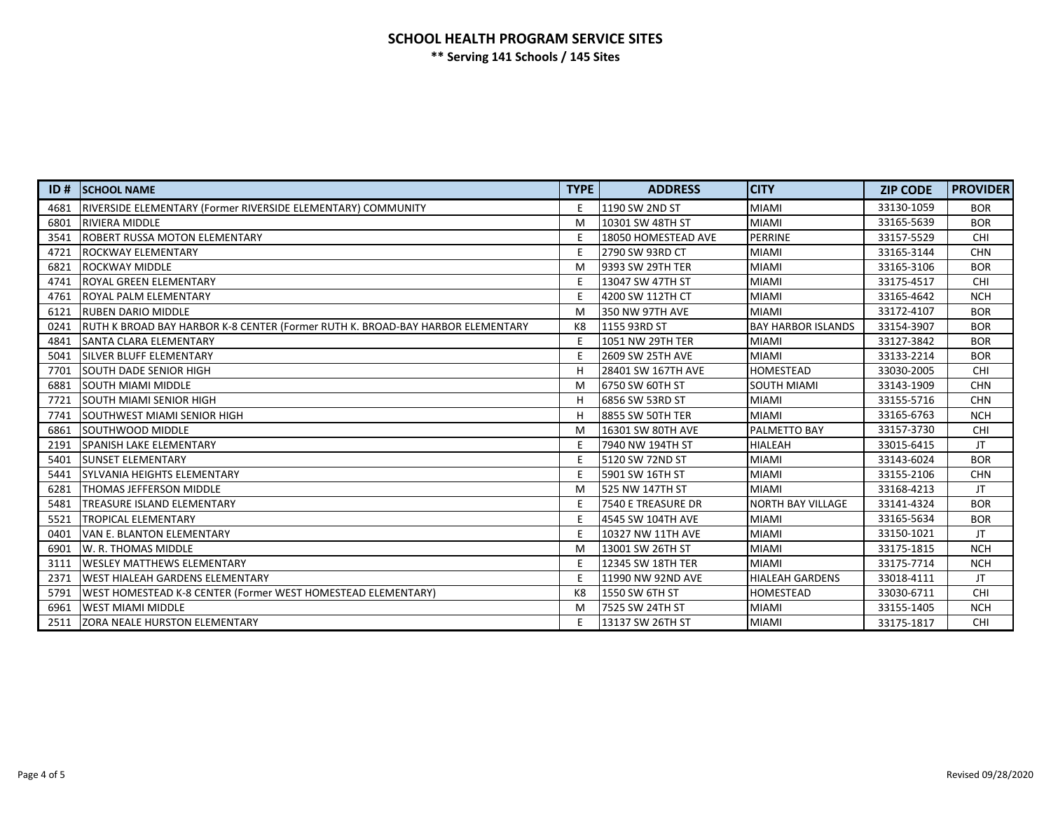## **SCHOOL HEALTH PROGRAM SERVICE SITES \*\* Serving 141 Schools / 145 Sites**

| ID#  | <b>SCHOOL NAME</b>                                                              | <b>TYPE</b> | <b>ADDRESS</b>         | <b>CITY</b>               | <b>ZIP CODE</b> | <b>PROVIDER</b> |
|------|---------------------------------------------------------------------------------|-------------|------------------------|---------------------------|-----------------|-----------------|
| 4681 | RIVERSIDE ELEMENTARY (Former RIVERSIDE ELEMENTARY) COMMUNITY                    | E           | 1190 SW 2ND ST         | <b>MIAMI</b>              | 33130-1059      | <b>BOR</b>      |
| 6801 | <b>RIVIERA MIDDLE</b>                                                           | M           | 10301 SW 48TH ST       | <b>MIAMI</b>              | 33165-5639      | <b>BOR</b>      |
| 3541 | ROBERT RUSSA MOTON ELEMENTARY                                                   | Ε           | 18050 HOMESTEAD AVE    | <b>PERRINE</b>            | 33157-5529      | <b>CHI</b>      |
| 4721 | <b>ROCKWAY ELEMENTARY</b>                                                       | E           | 2790 SW 93RD CT        | <b>MIAMI</b>              | 33165-3144      | <b>CHN</b>      |
| 6821 | <b>ROCKWAY MIDDLE</b>                                                           | M           | 19393 SW 29TH TER      | <b>MIAMI</b>              | 33165-3106      | <b>BOR</b>      |
| 4741 | lROYAL GREEN ELEMENTARY                                                         | Ε           | 13047 SW 47TH ST       | <b>MIAMI</b>              | 33175-4517      | <b>CHI</b>      |
| 4761 | ROYAL PALM ELEMENTARY                                                           |             | 4200 SW 112TH CT       | <b>MIAMI</b>              | 33165-4642      | <b>NCH</b>      |
| 6121 | <b>RUBEN DARIO MIDDLE</b>                                                       | M           | <b>350 NW 97TH AVE</b> | <b>MIAMI</b>              | 33172-4107      | <b>BOR</b>      |
| 0241 | RUTH K BROAD BAY HARBOR K-8 CENTER (Former RUTH K. BROAD-BAY HARBOR ELEMENTARY) | K8          | 1155 93RD ST           | <b>BAY HARBOR ISLANDS</b> | 33154-3907      | <b>BOR</b>      |
| 4841 | <b>SANTA CLARA ELEMENTARY</b>                                                   | E           | 1051 NW 29TH TER       | <b>MIAMI</b>              | 33127-3842      | <b>BOR</b>      |
| 5041 | <b>SILVER BLUFF ELEMENTARY</b>                                                  | Ε           | 2609 SW 25TH AVE       | <b>MIAMI</b>              | 33133-2214      | <b>BOR</b>      |
| 7701 | <b>SOUTH DADE SENIOR HIGH</b>                                                   |             | 28401 SW 167TH AVE     | <b>HOMESTEAD</b>          | 33030-2005      | CHI             |
| 6881 | <b>SOUTH MIAMI MIDDLE</b>                                                       | M           | 16750 SW 60TH ST       | SOUTH MIAMI               | 33143-1909      | <b>CHN</b>      |
| 7721 | ISOUTH MIAMI SENIOR HIGH                                                        | H           | 6856 SW 53RD ST        | <b>MIAMI</b>              | 33155-5716      | <b>CHN</b>      |
| 7741 | ISOUTHWEST MIAMI SENIOR HIGH                                                    | H           | 8855 SW 50TH TER       | <b>MIAMI</b>              | 33165-6763      | <b>NCH</b>      |
| 6861 | ISOUTHWOOD MIDDLE                                                               | M           | 16301 SW 80TH AVE      | PALMETTO BAY              | 33157-3730      | <b>CHI</b>      |
| 2191 | <b>SPANISH LAKE ELEMENTARY</b>                                                  | F           | 7940 NW 194TH ST       | <b>HIALEAH</b>            | 33015-6415      | JT              |
| 5401 | <b>SUNSET ELEMENTARY</b>                                                        | E           | 5120 SW 72ND ST        | <b>MIAMI</b>              | 33143-6024      | <b>BOR</b>      |
| 5441 | İSYLVANIA HEIGHTS ELEMENTARY                                                    | E           | 5901 SW 16TH ST        | <b>MIAMI</b>              | 33155-2106      | <b>CHN</b>      |
| 6281 | <b>THOMAS JEFFERSON MIDDLE</b>                                                  | M           | 525 NW 147TH ST        | <b>MIAMI</b>              | 33168-4213      | JT              |
| 5481 | <b>TREASURE ISLAND ELEMENTARY</b>                                               | E           | 7540 E TREASURE DR     | <b>NORTH BAY VILLAGE</b>  | 33141-4324      | <b>BOR</b>      |
| 5521 | <b>TROPICAL ELEMENTARY</b>                                                      | E           | 4545 SW 104TH AVE      | <b>MIAMI</b>              | 33165-5634      | <b>BOR</b>      |
| 0401 | VAN E. BLANTON ELEMENTARY                                                       | E           | 10327 NW 11TH AVE      | <b>MIAMI</b>              | 33150-1021      | JT              |
| 6901 | W. R. THOMAS MIDDLE                                                             | M           | 13001 SW 26TH ST       | <b>MIAMI</b>              | 33175-1815      | <b>NCH</b>      |
| 3111 | <b>WESLEY MATTHEWS ELEMENTARY</b>                                               | Ε           | 12345 SW 18TH TER      | <b>MIAMI</b>              | 33175-7714      | <b>NCH</b>      |
| 2371 | WEST HIALEAH GARDENS ELEMENTARY                                                 | E           | 11990 NW 92ND AVE      | <b>HIALEAH GARDENS</b>    | 33018-4111      | JT.             |
| 5791 | WEST HOMESTEAD K-8 CENTER (Former WEST HOMESTEAD ELEMENTARY)                    | K8          | 1550 SW 6TH ST         | HOMESTEAD                 | 33030-6711      | <b>CHI</b>      |
| 6961 | <b>WEST MIAMI MIDDLE</b>                                                        | M           | 7525 SW 24TH ST        | <b>MIAMI</b>              | 33155-1405      | <b>NCH</b>      |
| 2511 | <b>ZORA NEALE HURSTON ELEMENTARY</b>                                            | Ε           | 13137 SW 26TH ST       | <b>MIAMI</b>              | 33175-1817      | <b>CHI</b>      |